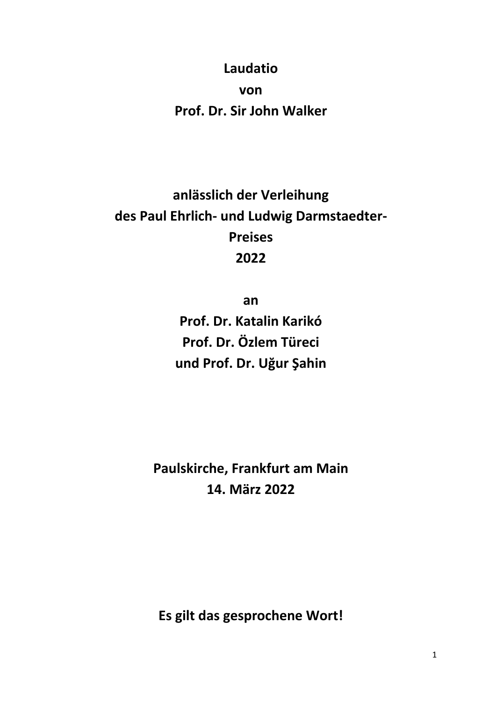## **Laudatio von**

**Prof. Dr. Sir John Walker**

## **anlässlich der Verleihung des Paul Ehrlich- und Ludwig Darmstaedter-Preises 2022**

**an**

**Prof. Dr. Katalin Karikó Prof. Dr. Özlem Türeci und Prof. Dr. Uğur Şahin**

**Paulskirche, Frankfurt am Main 14. März 2022**

**Es gilt das gesprochene Wort!**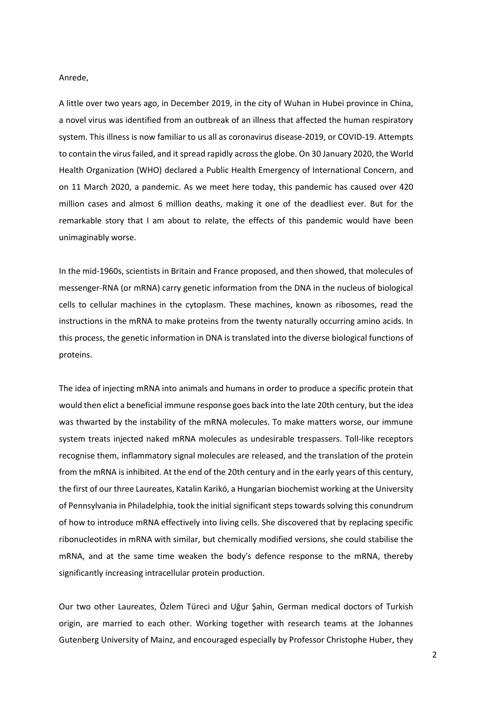## Anrede,

A little over two years ago, in December 2019, in the city of Wuhan in Hubei province in China, a novel virus was identified from an outbreak of an illness that affected the human respiratory system. This illness is now familiar to us all as coronavirus disease-2019, or COVID-19. Attempts to contain the virus failed, and it spread rapidly across the globe. On 30 January 2020, the World Health Organization (WHO) declared a Public Health Emergency of International Concern, and on 11 March 2020, a pandemic. As we meet here today, this pandemic has caused over 420 million cases and almost 6 million deaths, making it one of the deadliest ever. But for the remarkable story that I am about to relate, the effects of this pandemic would have been unimaginably worse.

In the mid-1960s, scientists in Britain and France proposed, and then showed, that molecules of messenger-RNA (or mRNA) carry genetic information from the DNA in the nucleus of biological cells to cellular machines in the cytoplasm. These machines, known as ribosomes, read the instructions in the mRNA to make proteins from the twenty naturally occurring amino acids. In this process, the genetic information in DNA is translated into the diverse biological functions of proteins.

The idea of injecting mRNA into animals and humans in order to produce a specific protein that would then elict a beneficial immune response goes back into the late 20th century, but the idea was thwarted by the instability of the mRNA molecules. To make matters worse, our immune system treats injected naked mRNA molecules as undesirable trespassers. Toll-like receptors recognise them, inflammatory signal molecules are released, and the translation of the protein from the mRNA is inhibited. At the end of the 20th century and in the early years of this century, the first of our three Laureates, Katalin Karikó, a Hungarian biochemist working at the University of Pennsylvania in Philadelphia, took the initial significant steps towards solving this conundrum of how to introduce mRNA effectively into living cells. She discovered that by replacing specific ribonucleotides in mRNA with similar, but chemically modified versions, she could stabilise the mRNA, and at the same time weaken the body's defence response to the mRNA, thereby significantly increasing intracellular protein production.

Our two other Laureates, Özlem Türeci and Uğur Şahin, German medical doctors of Turkish origin, are married to each other. Working together with research teams at the Johannes Gutenberg University of Mainz, and encouraged especially by Professor Christophe Huber, they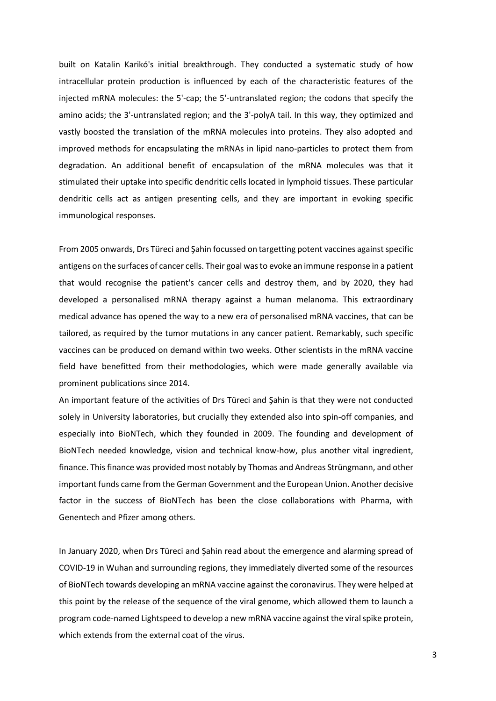built on Katalin Karikó's initial breakthrough. They conducted a systematic study of how intracellular protein production is influenced by each of the characteristic features of the injected mRNA molecules: the 5'-cap; the 5'-untranslated region; the codons that specify the amino acids; the 3'-untranslated region; and the 3'-polyA tail. In this way, they optimized and vastly boosted the translation of the mRNA molecules into proteins. They also adopted and improved methods for encapsulating the mRNAs in lipid nano-particles to protect them from degradation. An additional benefit of encapsulation of the mRNA molecules was that it stimulated their uptake into specific dendritic cells located in lymphoid tissues. These particular dendritic cells act as antigen presenting cells, and they are important in evoking specific immunological responses.

From 2005 onwards, Drs Türeci and Şahin focussed on targetting potent vaccines against specific antigens on the surfaces of cancer cells. Their goal was to evoke an immune response in a patient that would recognise the patient's cancer cells and destroy them, and by 2020, they had developed a personalised mRNA therapy against a human melanoma. This extraordinary medical advance has opened the way to a new era of personalised mRNA vaccines, that can be tailored, as required by the tumor mutations in any cancer patient. Remarkably, such specific vaccines can be produced on demand within two weeks. Other scientists in the mRNA vaccine field have benefitted from their methodologies, which were made generally available via prominent publications since 2014.

An important feature of the activities of Drs Türeci and Şahin is that they were not conducted solely in University laboratories, but crucially they extended also into spin-off companies, and especially into BioNTech, which they founded in 2009. The founding and development of BioNTech needed knowledge, vision and technical know-how, plus another vital ingredient, finance. This finance was provided most notably by Thomas and Andreas Strüngmann, and other important funds came from the German Government and the European Union. Another decisive factor in the success of BioNTech has been the close collaborations with Pharma, with Genentech and Pfizer among others.

In January 2020, when Drs Türeci and Şahin read about the emergence and alarming spread of COVID-19 in Wuhan and surrounding regions, they immediately diverted some of the resources of BioNTech towards developing an mRNA vaccine against the coronavirus. They were helped at this point by the release of the sequence of the viral genome, which allowed them to launch a program code-named Lightspeed to develop a new mRNA vaccine against the viral spike protein, which extends from the external coat of the virus.